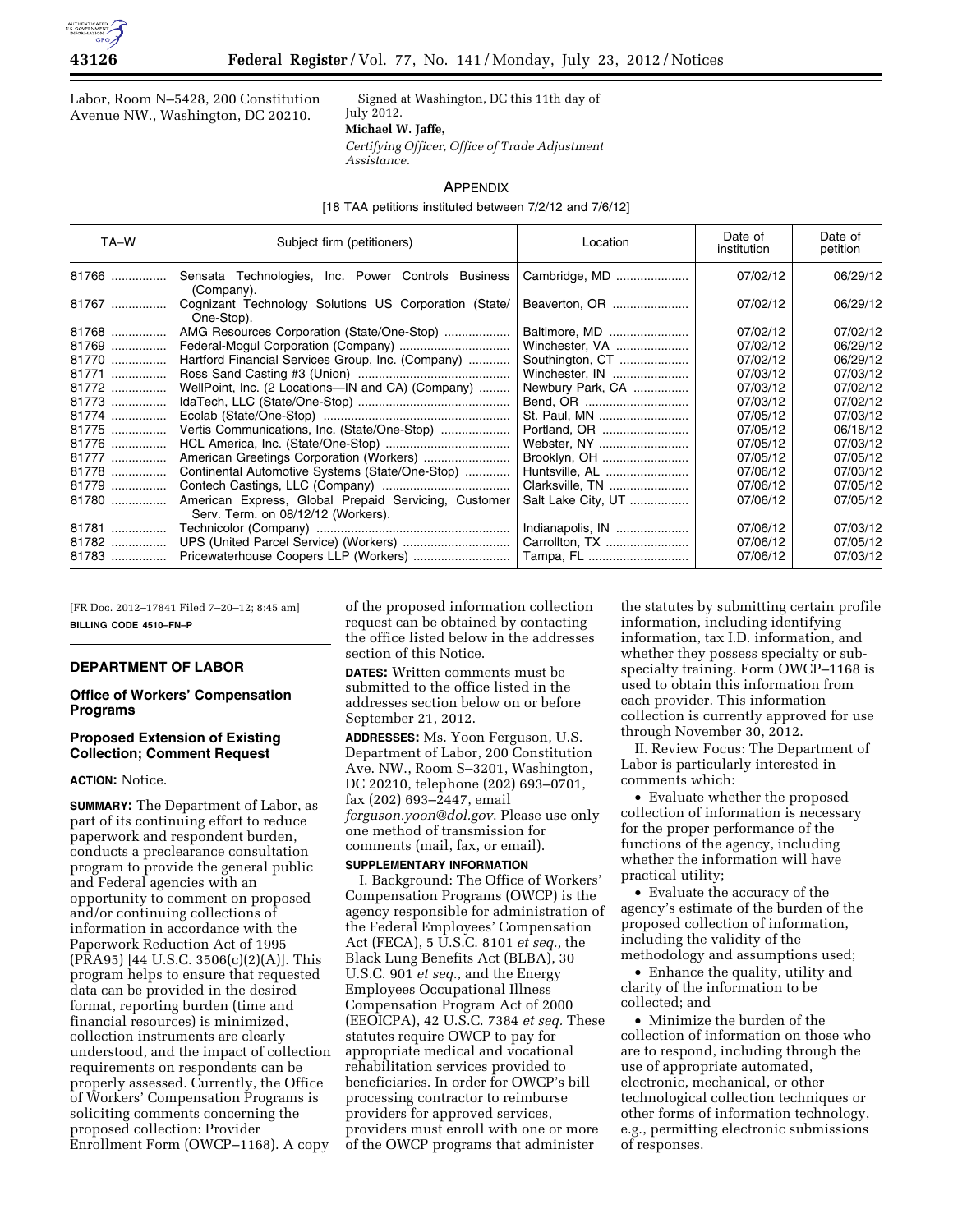

Labor, Room N–5428, 200 Constitution Avenue NW., Washington, DC 20210.

Signed at Washington, DC this 11th day of July 2012.

#### **Michael W. Jaffe,**

*Certifying Officer, Office of Trade Adjustment* 

*Assistance.* 

# APPENDIX

[18 TAA petitions instituted between 7/2/12 and 7/6/12]

| TA-W  | Subject firm (petitioners)                                                                 | Location           | Date of<br>institution | Date of<br>petition |
|-------|--------------------------------------------------------------------------------------------|--------------------|------------------------|---------------------|
| 81766 | Sensata Technologies, Inc. Power Controls Business<br>(Company).                           | Cambridge, MD      | 07/02/12               | 06/29/12            |
| 81767 | Cognizant Technology Solutions US Corporation (State/<br>One-Stop).                        | Beaverton, OR      | 07/02/12               | 06/29/12            |
| 81768 | AMG Resources Corporation (State/One-Stop)                                                 | Baltimore, MD      | 07/02/12               | 07/02/12            |
| 81769 | Federal-Mogul Corporation (Company)                                                        | Winchester, VA     | 07/02/12               | 06/29/12            |
| 81770 | Hartford Financial Services Group, Inc. (Company)                                          | Southington, CT    | 07/02/12               | 06/29/12            |
| 81771 |                                                                                            | Winchester, IN     | 07/03/12               | 07/03/12            |
| 81772 | WellPoint, Inc. (2 Locations-IN and CA) (Company)                                          | Newbury Park, CA   | 07/03/12               | 07/02/12            |
| 81773 |                                                                                            |                    | 07/03/12               | 07/02/12            |
| 81774 |                                                                                            | St. Paul, MN       | 07/05/12               | 07/03/12            |
| 81775 | Vertis Communications, Inc. (State/One-Stop)                                               | Portland, OR       | 07/05/12               | 06/18/12            |
| 81776 |                                                                                            | Webster, NY        | 07/05/12               | 07/03/12            |
| 81777 | American Greetings Corporation (Workers)                                                   | Brooklyn, OH       | 07/05/12               | 07/05/12            |
| 81778 | Continental Automotive Systems (State/One-Stop)                                            | Huntsville, AL     | 07/06/12               | 07/03/12            |
| 81779 |                                                                                            | Clarksville, TN    | 07/06/12               | 07/05/12            |
| 81780 | American Express, Global Prepaid Servicing, Customer<br>Serv. Term. on 08/12/12 (Workers). | Salt Lake City, UT | 07/06/12               | 07/05/12            |
| 81781 |                                                                                            | Indianapolis, IN   | 07/06/12               | 07/03/12            |
| 81782 |                                                                                            | Carrollton, TX     | 07/06/12               | 07/05/12            |
| 81783 |                                                                                            | Tampa, FL          | 07/06/12               | 07/03/12            |

[FR Doc. 2012–17841 Filed 7–20–12; 8:45 am] **BILLING CODE 4510–FN–P** 

## **DEPARTMENT OF LABOR**

## **Office of Workers' Compensation Programs**

#### **Proposed Extension of Existing Collection; Comment Request**

## **ACTION:** Notice.

**SUMMARY:** The Department of Labor, as part of its continuing effort to reduce paperwork and respondent burden, conducts a preclearance consultation program to provide the general public and Federal agencies with an opportunity to comment on proposed and/or continuing collections of information in accordance with the Paperwork Reduction Act of 1995 (PRA95) [44 U.S.C. 3506(c)(2)(A)]. This program helps to ensure that requested data can be provided in the desired format, reporting burden (time and financial resources) is minimized, collection instruments are clearly understood, and the impact of collection requirements on respondents can be properly assessed. Currently, the Office of Workers' Compensation Programs is soliciting comments concerning the proposed collection: Provider Enrollment Form (OWCP–1168). A copy

of the proposed information collection request can be obtained by contacting the office listed below in the addresses section of this Notice.

**DATES:** Written comments must be submitted to the office listed in the addresses section below on or before September 21, 2012.

**ADDRESSES:** Ms. Yoon Ferguson, U.S. Department of Labor, 200 Constitution Ave. NW., Room S–3201, Washington, DC 20210, telephone (202) 693–0701, fax (202) 693–2447, email *[ferguson.yoon@dol.gov](mailto:ferguson.yoon@dol.gov)*. Please use only one method of transmission for comments (mail, fax, or email).

#### **SUPPLEMENTARY INFORMATION**

I. Background: The Office of Workers' Compensation Programs (OWCP) is the agency responsible for administration of the Federal Employees' Compensation Act (FECA), 5 U.S.C. 8101 *et seq.,* the Black Lung Benefits Act (BLBA), 30 U.S.C. 901 *et seq.,* and the Energy Employees Occupational Illness Compensation Program Act of 2000 (EEOICPA), 42 U.S.C. 7384 *et seq.* These statutes require OWCP to pay for appropriate medical and vocational rehabilitation services provided to beneficiaries. In order for OWCP's bill processing contractor to reimburse providers for approved services, providers must enroll with one or more of the OWCP programs that administer

the statutes by submitting certain profile information, including identifying information, tax I.D. information, and whether they possess specialty or subspecialty training. Form OWCP–1168 is used to obtain this information from each provider. This information collection is currently approved for use through November 30, 2012.

II. Review Focus: The Department of Labor is particularly interested in comments which:

• Evaluate whether the proposed collection of information is necessary for the proper performance of the functions of the agency, including whether the information will have practical utility;

• Evaluate the accuracy of the agency's estimate of the burden of the proposed collection of information, including the validity of the methodology and assumptions used;

• Enhance the quality, utility and clarity of the information to be collected; and

• Minimize the burden of the collection of information on those who are to respond, including through the use of appropriate automated, electronic, mechanical, or other technological collection techniques or other forms of information technology, e.g., permitting electronic submissions of responses.